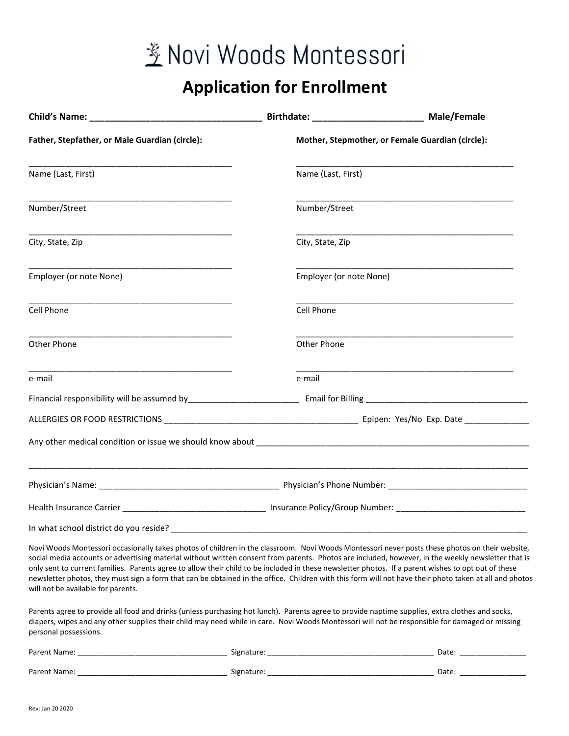## 签 Novi Woods Montessori

## Application for Enrollment

|                                                                                                                                                                                                                                                                                                                                                                                                                                                                                                                                                                                                                                                             |                                                                               | Birthdate: __________________________________ Male/Female |  |  |
|-------------------------------------------------------------------------------------------------------------------------------------------------------------------------------------------------------------------------------------------------------------------------------------------------------------------------------------------------------------------------------------------------------------------------------------------------------------------------------------------------------------------------------------------------------------------------------------------------------------------------------------------------------------|-------------------------------------------------------------------------------|-----------------------------------------------------------|--|--|
| Father, Stepfather, or Male Guardian (circle):                                                                                                                                                                                                                                                                                                                                                                                                                                                                                                                                                                                                              |                                                                               | Mother, Stepmother, or Female Guardian (circle):          |  |  |
| Name (Last, First)                                                                                                                                                                                                                                                                                                                                                                                                                                                                                                                                                                                                                                          | Name (Last, First)                                                            |                                                           |  |  |
| Number/Street                                                                                                                                                                                                                                                                                                                                                                                                                                                                                                                                                                                                                                               | Number/Street                                                                 |                                                           |  |  |
| City, State, Zip                                                                                                                                                                                                                                                                                                                                                                                                                                                                                                                                                                                                                                            | City, State, Zip                                                              |                                                           |  |  |
| Employer (or note None)                                                                                                                                                                                                                                                                                                                                                                                                                                                                                                                                                                                                                                     |                                                                               | Employer (or note None)                                   |  |  |
| Cell Phone                                                                                                                                                                                                                                                                                                                                                                                                                                                                                                                                                                                                                                                  | Cell Phone                                                                    |                                                           |  |  |
| Other Phone                                                                                                                                                                                                                                                                                                                                                                                                                                                                                                                                                                                                                                                 | Other Phone                                                                   |                                                           |  |  |
| e-mail                                                                                                                                                                                                                                                                                                                                                                                                                                                                                                                                                                                                                                                      | e-mail                                                                        |                                                           |  |  |
|                                                                                                                                                                                                                                                                                                                                                                                                                                                                                                                                                                                                                                                             |                                                                               |                                                           |  |  |
|                                                                                                                                                                                                                                                                                                                                                                                                                                                                                                                                                                                                                                                             |                                                                               |                                                           |  |  |
|                                                                                                                                                                                                                                                                                                                                                                                                                                                                                                                                                                                                                                                             |                                                                               |                                                           |  |  |
|                                                                                                                                                                                                                                                                                                                                                                                                                                                                                                                                                                                                                                                             |                                                                               |                                                           |  |  |
|                                                                                                                                                                                                                                                                                                                                                                                                                                                                                                                                                                                                                                                             | Health Insurance Carrier <b>Manufature 1996</b> Contract Policy/Group Number: |                                                           |  |  |
| In what school district do you reside?                                                                                                                                                                                                                                                                                                                                                                                                                                                                                                                                                                                                                      |                                                                               |                                                           |  |  |
| Novi Woods Montessori occasionally takes photos of children in the classroom. Novi Woods Montessori never posts these photos on their website,<br>social media accounts or advertising material without written consent from parents. Photos are included, however, in the weekly newsletter that is<br>only sent to current families. Parents agree to allow their child to be included in these newsletter photos. If a parent wishes to opt out of these<br>newsletter photos, they must sign a form that can be obtained in the office. Children with this form will not have their photo taken at all and photos<br>will not be available for parents. |                                                                               |                                                           |  |  |
| Parents agree to provide all food and drinks (unless purchasing hot lunch). Parents agree to provide naptime supplies, extra clothes and socks,<br>diapers, wipes and any other supplies their child may need while in care. Novi Woods Montessori will not be responsible for damaged or missing<br>personal possessions.                                                                                                                                                                                                                                                                                                                                  |                                                                               |                                                           |  |  |

| Paren<br>_____<br>________             | -<br>۵σ۰.<br>- 11<br>______                        | ۰<br>Dale            |
|----------------------------------------|----------------------------------------------------|----------------------|
| Parer<br>________________<br>_________ | . .<br>- 11<br>__________<br>________<br>_________ | Date<br>____________ |